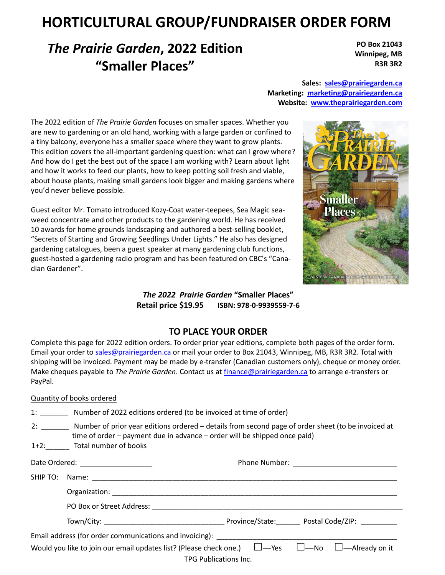# **HORTICULTURAL GROUP/FUNDRAISER ORDER FORM**

## *The Prairie Garden***, 2022 Edition "Smaller Places"**

**PO Box 21043 Winnipeg, MB R3R 3R2** 

**Sales: sales@prairiegarden.ca Marketing: marketing@prairiegarden.ca Website: www.theprairiegarden.com** 

The 2022 edition of *The Prairie Garden* focuses on smaller spaces. Whether you are new to gardening or an old hand, working with a large garden or confined to a tiny balcony, everyone has a smaller space where they want to grow plants. This edition covers the all-important gardening question: what can I grow where? And how do I get the best out of the space I am working with? Learn about light and how it works to feed our plants, how to keep potting soil fresh and viable, about house plants, making small gardens look bigger and making gardens where you'd never believe possible.

Guest editor Mr. Tomato introduced Kozy-Coat water-teepees, Sea Magic seaweed concentrate and other products to the gardening world. He has received 10 awards for home grounds landscaping and authored a best-selling booklet, "Secrets of Starting and Growing Seedlings Under Lights." He also has designed gardening catalogues, been a guest speaker at many gardening club functions, guest-hosted a gardening radio program and has been featured on CBC's "Canadian Gardener".



*The 2022 Prairie Garden* **"Smaller Places" Retail price \$19.95 ISBN: 978-0-9939559-7-6**

## **TO PLACE YOUR ORDER**

Complete this page for 2022 edition orders. To order prior year editions, complete both pages of the order form. Email your order to sales@prairiegarden.ca or mail your order to Box 21043, Winnipeg, MB, R3R 3R2. Total with shipping will be invoiced. Payment may be made by e-transfer (Canadian customers only), cheque or money order. Make cheques payable to *The Prairie Garden*. Contact us at finance@prairiegarden.ca to arrange e-transfers or PayPal.

### Quantity of books ordered

|  |                            | 1: Number of 2022 editions ordered (to be invoiced at time of order)                                                                                                                                                           |  |  |
|--|----------------------------|--------------------------------------------------------------------------------------------------------------------------------------------------------------------------------------------------------------------------------|--|--|
|  | 1+2: Total number of books | 2: Number of prior year editions ordered – details from second page of order sheet (to be invoiced at<br>time of order – payment due in advance – order will be shipped once paid)                                             |  |  |
|  |                            |                                                                                                                                                                                                                                |  |  |
|  |                            |                                                                                                                                                                                                                                |  |  |
|  |                            |                                                                                                                                                                                                                                |  |  |
|  |                            |                                                                                                                                                                                                                                |  |  |
|  |                            |                                                                                                                                                                                                                                |  |  |
|  |                            | Email address (for order communications and invoicing): Lateration and intervals and intervals are all the states of the states of the states of the states of the states of the states of the states of the states of the sta |  |  |
|  |                            | Would you like to join our email updates list? (Please check one.) $\Box$ —Yes $\Box$ —No $\Box$ —Already on it<br>TPG Publications Inc.                                                                                       |  |  |